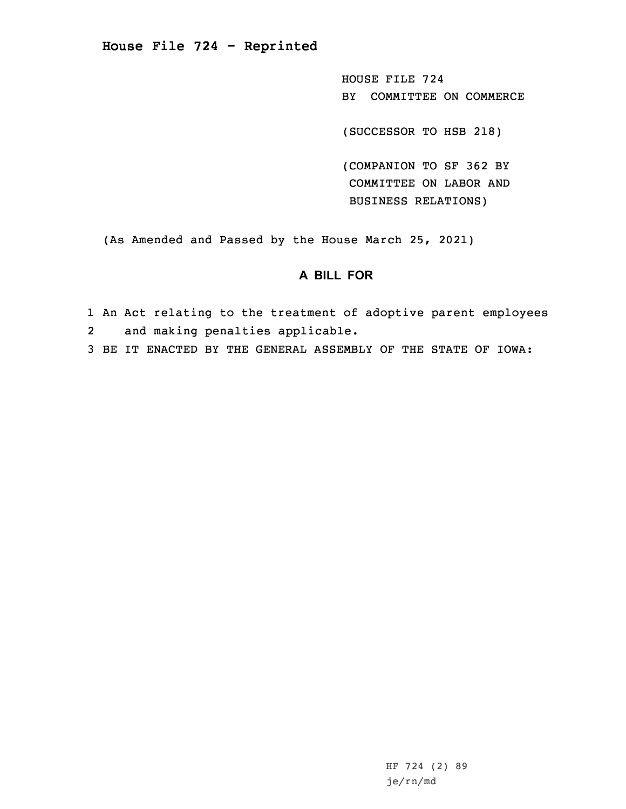**House File 724 - Reprinted**

HOUSE FILE 724 BY COMMITTEE ON COMMERCE

(SUCCESSOR TO HSB 218)

(COMPANION TO SF 362 BY COMMITTEE ON LABOR AND BUSINESS RELATIONS)

(As Amended and Passed by the House March 25, 2021)

## **A BILL FOR**

1 An Act relating to the treatment of adoptive parent employees 2and making penalties applicable.

3 BE IT ENACTED BY THE GENERAL ASSEMBLY OF THE STATE OF IOWA:

HF 724 (2) 89 je/rn/md